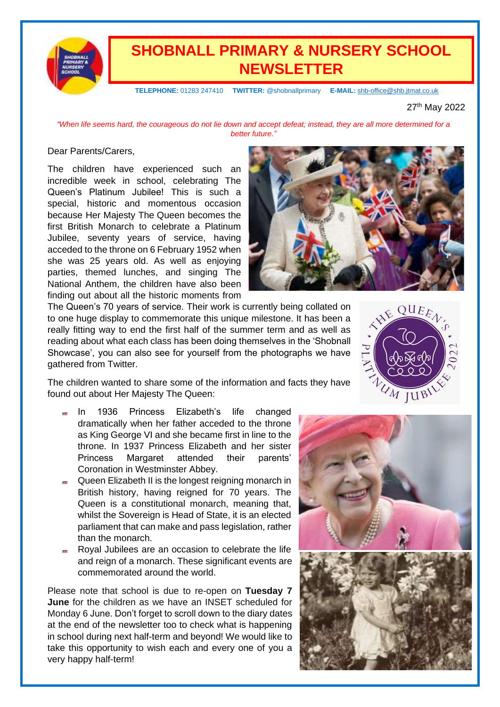

### **SHOBNALL PRIMARY & NURSERY SCHOOL NEWSLETTER**

 **TELEPHONE:** 01283 247410 **TWITTER:** @shobnallprimary **E-MAIL:** [shb-office@shb.jtmat.co.uk](mailto:shb-office@shb.jtmat.co.uk)

27th May 2022

"When life seems hard, the courageous do not lie down and accept defeat; instead, they are all more determined for a *better future."*

#### Dear Parents/Carers,

The children have experienced such an incredible week in school, celebrating The Queen's Platinum Jubilee! This is such a special, historic and momentous occasion because Her Majesty The Queen becomes the first British Monarch to celebrate a Platinum Jubilee, seventy years of service, having acceded to the throne on 6 February 1952 when she was 25 years old. As well as enjoying parties, themed lunches, and singing The National Anthem, the children have also been finding out about all the historic moments from



The Queen's 70 years of service. Their work is currently being collated on to one huge display to commemorate this unique milestone. It has been a really fitting way to end the first half of the summer term and as well as reading about what each class has been doing themselves in the 'Shobnall Showcase', you can also see for yourself from the photographs we have gathered from Twitter.



The children wanted to share some of the information and facts they have found out about Her Majesty The Queen:

- In 1936 Princess Elizabeth's life changed dramatically when her father acceded to the throne as King George VI and she became first in line to the throne. In 1937 Princess Elizabeth and her sister Princess Margaret attended their parents' Coronation in Westminster Abbey.
- Queen Elizabeth II is the longest reigning monarch in British history, having reigned for 70 years. The Queen is a constitutional monarch, meaning that, whilst the Sovereign is Head of State, it is an elected parliament that can make and pass legislation, rather than the monarch.
- Royal Jubilees are an occasion to celebrate the life and reign of a monarch. These significant events are commemorated around the world.

Please note that school is due to re-open on **Tuesday 7 June** for the children as we have an INSET scheduled for Monday 6 June. Don't forget to scroll down to the diary dates at the end of the newsletter too to check what is happening in school during next half-term and beyond! We would like to take this opportunity to wish each and every one of you a very happy half-term!

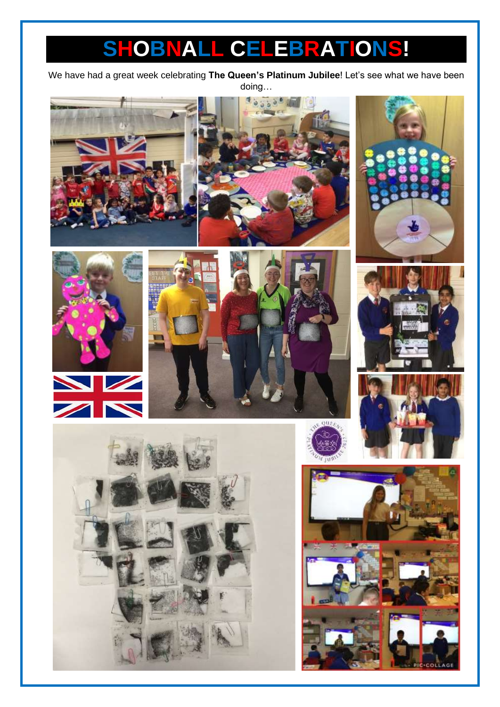# **SHOBNALL CELEBRATIONS!**

We have had a great week celebrating **The Queen's Platinum Jubilee**! Let's see what we have been doing…

















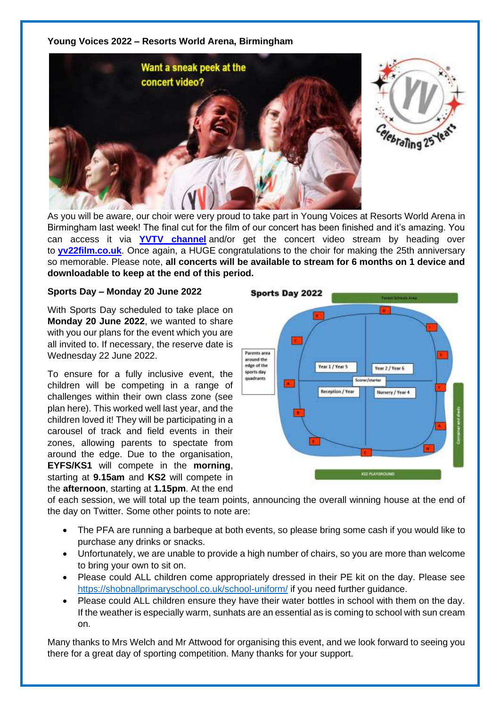**Young Voices 2022 – Resorts World Arena, Birmingham**





As you will be aware, our choir were very proud to take part in Young Voices at Resorts World Arena in Birmingham last week! The final cut for the film of our concert has been finished and it's amazing. You can access it via **YVTV [channel](https://youngvoices.cmail20.com/t/t-l-qdyjrz-jrdujlyhly-y/)** and/or get the concert video stream by heading over to **[yv22film.co.uk](https://youngvoices.cmail20.com/t/t-l-qdyjrz-jrdujlyhly-j/)**. Once again, a HUGE congratulations to the choir for making the 25th anniversary so memorable. Please note, **all concerts will be available to stream for 6 months on 1 device and downloadable to keep at the end of this period.**

#### **Sports Day – Monday 20 June 2022**

With Sports Day scheduled to take place on **Monday 20 June 2022**, we wanted to share with you our plans for the event which you are all invited to. If necessary, the reserve date is Wednesday 22 June 2022.

To ensure for a fully inclusive event, the children will be competing in a range of challenges within their own class zone (see plan here). This worked well last year, and the children loved it! They will be participating in a carousel of track and field events in their zones, allowing parents to spectate from around the edge. Due to the organisation, **EYFS/KS1** will compete in the **morning**, starting at **9.15am** and **KS2** will compete in the **afternoon**, starting at **1.15pm**. At the end



of each session, we will total up the team points, announcing the overall winning house at the end of the day on Twitter. Some other points to note are:

- The PFA are running a barbeque at both events, so please bring some cash if you would like to purchase any drinks or snacks.
- Unfortunately, we are unable to provide a high number of chairs, so you are more than welcome to bring your own to sit on.
- Please could ALL children come appropriately dressed in their PE kit on the day. Please see <https://shobnallprimaryschool.co.uk/school-uniform/> if you need further guidance.
- Please could ALL children ensure they have their water bottles in school with them on the day. If the weather is especially warm, sunhats are an essential as is coming to school with sun cream on.

Many thanks to Mrs Welch and Mr Attwood for organising this event, and we look forward to seeing you there for a great day of sporting competition. Many thanks for your support.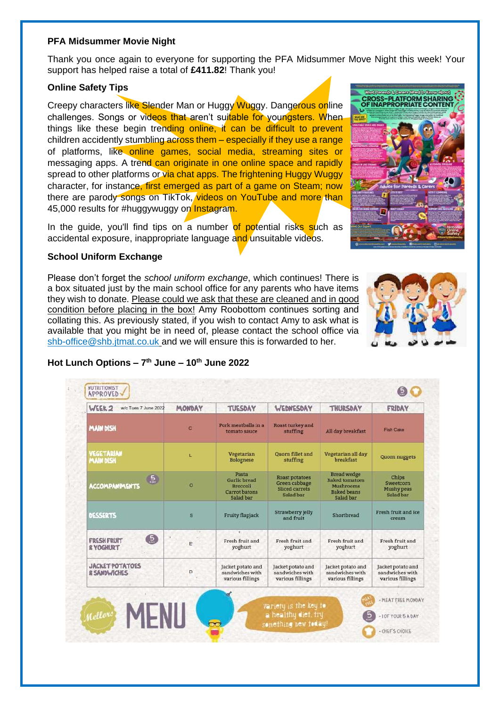#### **PFA Midsummer Movie Night**

Thank you once again to everyone for supporting the PFA Midsummer Move Night this week! Your support has helped raise a total of **£411.82**! Thank you!

#### **Online Safety Tips**

Creepy characters like Slender Man or Huggy Wuggy. Dangerous online challenges. Songs or videos that aren't suitable for youngsters. When things like these begin trending online, it can be difficult to prevent children accidently stumbling across them – especially if they use a range of platforms, like online games, social media, streaming sites or messaging apps. A trend can originate in one online space and rapidly spread to other platforms or via chat apps. The frightening Huggy Wuggy character, for instance, first emerged as part of a game on Steam; now there are parody songs on TikTok, videos on YouTube and more than 45,000 results for #huggywuggy on Instagram.

In the guide, you'll find tips on a number of potential risks such as accidental exposure, inappropriate language and unsuitable videos.

#### **School Uniform Exchange**

Please don't forget the *school uniform exchange*, which continues! There is a box situated just by the main school office for any parents who have items they wish to donate. Please could we ask that these are cleaned and in good condition before placing in the box! Amy Roobottom continues sorting and collating this. As previously stated, if you wish to contact Amy to ask what is available that you might be in need of, please contact the school office via [shb-office@shb.jtmat.co.uk](mailto:shb-office@shb.jtmat.co.uk) and we will ensure this is forwarded to her.



#### **Hot Lunch Options – 7 th June – 10th June 2022**

|                                                   |          | <b>TUESDAY</b>                                                                | WEDNESDAY                                                      | <b>THURSDAY</b>                                                                                    | FRIDAY                                                   |
|---------------------------------------------------|----------|-------------------------------------------------------------------------------|----------------------------------------------------------------|----------------------------------------------------------------------------------------------------|----------------------------------------------------------|
| <b>MAIN DISH</b>                                  | c        | Pork meatballs in a<br>tomato sauce                                           | <b>Roast turkey and</b><br>stuffing                            | All day breakfast                                                                                  | <b>Fish Cake</b>                                         |
| <b>VEGETARIAN</b><br><b>MAIN DISH</b>             | t.       | Vegetarian<br><b>Bolognese</b>                                                | <b>Ouorn fillet and</b><br>stuffing                            | Vegetarian all day<br>breakfast                                                                    | <b>Quorn nuggets</b>                                     |
| 5 <sub>1</sub><br><b>ACCOMPANIMENTS</b>           | $\sigma$ | Pasta<br>Garlic bread<br><b>Broccoli</b><br><b>Carrot</b> batons<br>Salad bar | Roast potatoes<br>Green cabbage<br>Sliced carrots<br>Salad bar | <b>Bread wedge</b><br><b>Baked tomatoes</b><br><b>Mushrooms</b><br><b>Baked</b> beans<br>Salad bar | Chips<br>Sweetcorn<br>Mushy peas<br>Salad bar            |
| <b>DESSERTS</b>                                   | s        | Fruity flapjack                                                               | Strawberry jelly<br>and fruit                                  | Shortbread                                                                                         | Fresh fruit and ice<br>cream                             |
| G)<br><b>FRESH FRUIT</b><br><b>&amp; YOGHURT</b>  | E        | Fresh fruit and<br>yoghurt                                                    | Fresh fruit and<br>yoghurt                                     | Fresh fruit and<br>yoghurt                                                                         | Fresh fruit and<br>yoghurt                               |
| <b>JACKET POTATOES</b><br><b>&amp; SANDWICHES</b> | D        | Jacket potato and<br>sandwiches with<br>various fillings                      | Jacket potato and<br>sandwiches with<br>various fillings       | Jacket potato and<br>sandwiches with<br>various fillings                                           | Jacket potato and<br>sandwiches with<br>various fillings |

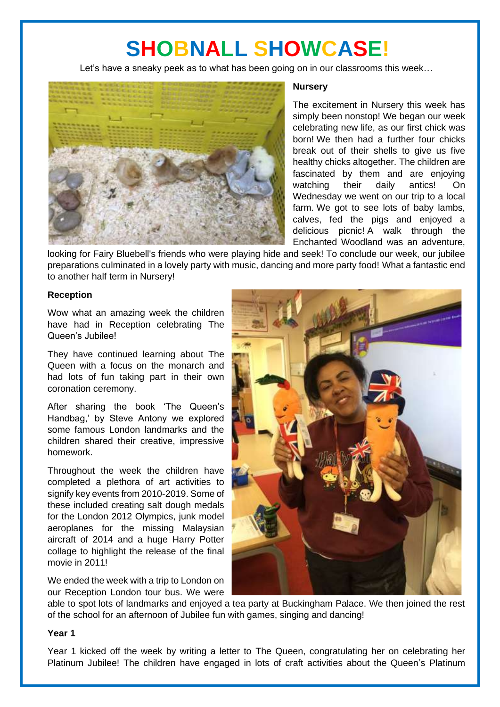## **SHOBNALL SHOWCASE!**

Let's have a sneaky peek as to what has been going on in our classrooms this week…



#### **Nursery**

The excitement in Nursery this week has simply been nonstop! We began our week celebrating new life, as our first chick was born! We then had a further four chicks break out of their shells to give us five healthy chicks altogether. The children are fascinated by them and are enjoying watching their daily antics! On Wednesday we went on our trip to a local farm. We got to see lots of baby lambs, calves, fed the pigs and enjoyed a delicious picnic! A walk through the Enchanted Woodland was an adventure,

looking for Fairy Bluebell's friends who were playing hide and seek! To conclude our week, our jubilee preparations culminated in a lovely party with music, dancing and more party food! What a fantastic end to another half term in Nursery!

#### **Reception**

Wow what an amazing week the children have had in Reception celebrating The Queen's Jubilee!

They have continued learning about The Queen with a focus on the monarch and had lots of fun taking part in their own coronation ceremony.

After sharing the book 'The Queen's Handbag,' by Steve Antony we explored some famous London landmarks and the children shared their creative, impressive homework.

Throughout the week the children have completed a plethora of art activities to signify key events from 2010-2019. Some of these included creating salt dough medals for the London 2012 Olympics, junk model aeroplanes for the missing Malaysian aircraft of 2014 and a huge Harry Potter collage to highlight the release of the final movie in 2011!

We ended the week with a trip to London on our Reception London tour bus. We were



able to spot lots of landmarks and enjoyed a tea party at Buckingham Palace. We then joined the rest of the school for an afternoon of Jubilee fun with games, singing and dancing!

#### **Year 1**

Year 1 kicked off the week by writing a letter to The Queen, congratulating her on celebrating her Platinum Jubilee! The children have engaged in lots of craft activities about the Queen's Platinum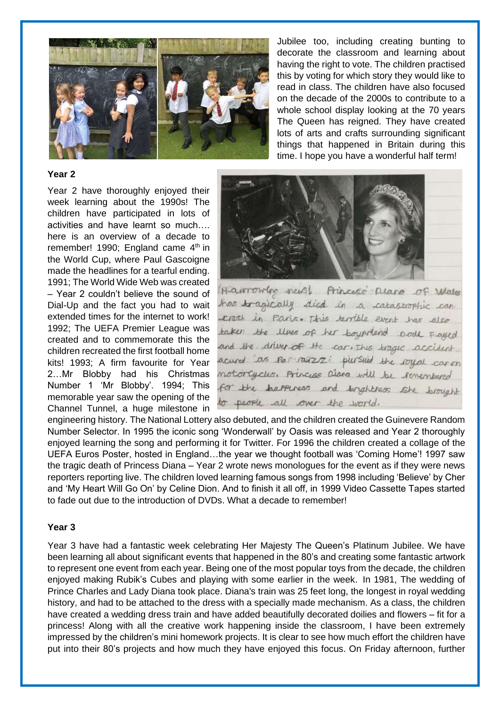

Jubilee too, including creating bunting to decorate the classroom and learning about having the right to vote. The children practised this by voting for which story they would like to read in class. The children have also focused on the decade of the 2000s to contribute to a whole school display looking at the 70 years The Queen has reigned. They have created lots of arts and crafts surrounding significant things that happened in Britain during this time. I hope you have a wonderful half term!

#### **Year 2**

Year 2 have thoroughly enjoyed their week learning about the 1990s! The children have participated in lots of activities and have learnt so much…. here is an overview of a decade to remember! 1990; England came  $4<sup>th</sup>$  in the World Cup, where Paul Gascoigne made the headlines for a tearful ending. 1991; The World Wide Web was created – Year 2 couldn't believe the sound of Dial-Up and the fact you had to wait extended times for the internet to work! 1992; The UEFA Premier League was created and to commemorate this the children recreated the first football home kits! 1993; A firm favourite for Year 2…Mr Blobby had his Christmas Number 1 'Mr Blobby'. 1994; This memorable year saw the opening of the Channel Tunnel, a huge milestone in



Hairrowtho news! Princess plane of Wales has tragically died in a carastrophic can crash in Paris. This terrible event has also taken the lives of her boypriend oods Foyed and the driver of the car, This tragic accident. acured as Parmarzzi pursued the royal caren motorcycles. Princess Diana will be remembered for the bappeness and brightness she brought to people all over the world.

engineering history. The National Lottery also debuted, and the children created the Guinevere Random Number Selector. In 1995 the iconic song 'Wonderwall' by Oasis was released and Year 2 thoroughly enjoyed learning the song and performing it for Twitter. For 1996 the children created a collage of the UEFA Euros Poster, hosted in England…the year we thought football was 'Coming Home'! 1997 saw the tragic death of Princess Diana – Year 2 wrote news monologues for the event as if they were news reporters reporting live. The children loved learning famous songs from 1998 including 'Believe' by Cher and 'My Heart Will Go On' by Celine Dion. And to finish it all off, in 1999 Video Cassette Tapes started to fade out due to the introduction of DVDs. What a decade to remember!

#### **Year 3**

Year 3 have had a fantastic week celebrating Her Majesty The Queen's Platinum Jubilee. We have been learning all about significant events that happened in the 80's and creating some fantastic artwork to represent one event from each year. Being one of the most popular toys from the decade, the children enjoyed making Rubik's Cubes and playing with some earlier in the week. In 1981, The wedding of Prince Charles and Lady Diana took place. Diana's train was 25 feet long, the longest in royal wedding history, and had to be attached to the dress with a specially made mechanism. As a class, the children have created a wedding dress train and have added beautifully decorated doilies and flowers – fit for a princess! Along with all the creative work happening inside the classroom, I have been extremely impressed by the children's mini homework projects. It is clear to see how much effort the children have put into their 80's projects and how much they have enjoyed this focus. On Friday afternoon, further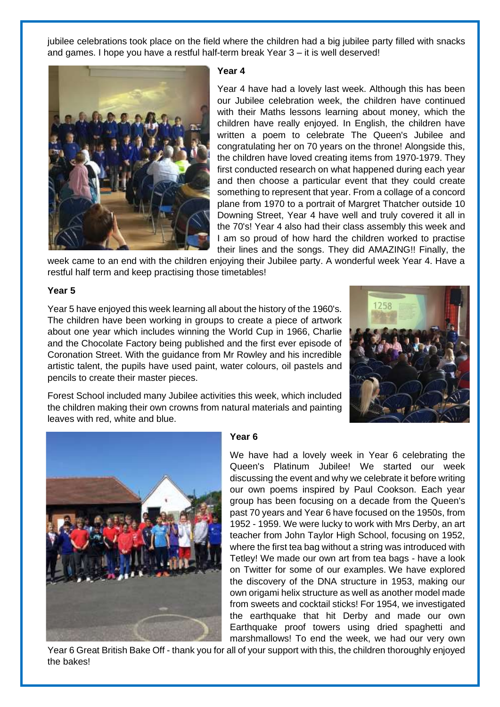jubilee celebrations took place on the field where the children had a big jubilee party filled with snacks and games. I hope you have a restful half-term break Year 3 – it is well deserved!



#### **Year 4**

Year 4 have had a lovely last week. Although this has been our Jubilee celebration week, the children have continued with their Maths lessons learning about money, which the children have really enjoyed. In English, the children have written a poem to celebrate The Queen's Jubilee and congratulating her on 70 years on the throne! Alongside this, the children have loved creating items from 1970-1979. They first conducted research on what happened during each year and then choose a particular event that they could create something to represent that year. From a collage of a concord plane from 1970 to a portrait of Margret Thatcher outside 10 Downing Street, Year 4 have well and truly covered it all in the 70's! Year 4 also had their class assembly this week and I am so proud of how hard the children worked to practise their lines and the songs. They did AMAZING!! Finally, the

week came to an end with the children enjoying their Jubilee party. A wonderful week Year 4. Have a restful half term and keep practising those timetables!

#### **Year 5**

Year 5 have enjoyed this week learning all about the history of the 1960's. The children have been working in groups to create a piece of artwork about one year which includes winning the World Cup in 1966, Charlie and the Chocolate Factory being published and the first ever episode of Coronation Street. With the guidance from Mr Rowley and his incredible artistic talent, the pupils have used paint, water colours, oil pastels and pencils to create their master pieces.



Forest School included many Jubilee activities this week, which included the children making their own crowns from natural materials and painting leaves with red, white and blue.



#### **Year 6**

We have had a lovely week in Year 6 celebrating the Queen's Platinum Jubilee! We started our week discussing the event and why we celebrate it before writing our own poems inspired by Paul Cookson. Each year group has been focusing on a decade from the Queen's past 70 years and Year 6 have focused on the 1950s, from 1952 - 1959. We were lucky to work with Mrs Derby, an art teacher from John Taylor High School, focusing on 1952, where the first tea bag without a string was introduced with Tetley! We made our own art from tea bags - have a look on Twitter for some of our examples. We have explored the discovery of the DNA structure in 1953, making our own origami helix structure as well as another model made from sweets and cocktail sticks! For 1954, we investigated the earthquake that hit Derby and made our own Earthquake proof towers using dried spaghetti and marshmallows! To end the week, we had our very own

Year 6 Great British Bake Off - thank you for all of your support with this, the children thoroughly enjoyed the bakes!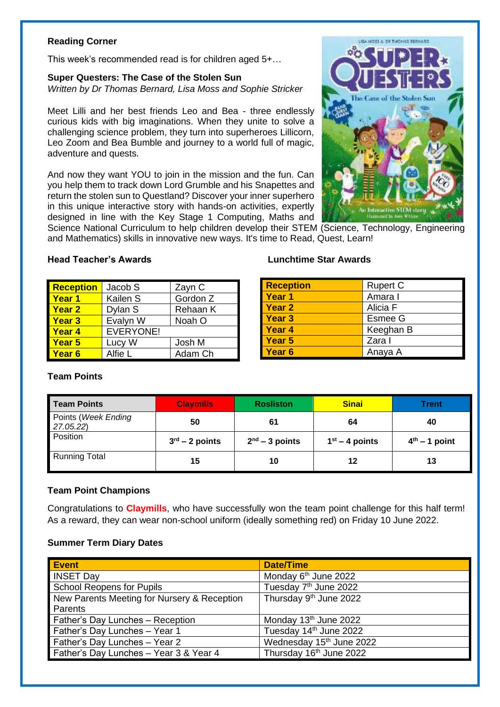#### **Reading Corner**

This week's recommended read is for children aged 5+…

#### **Super Questers: The Case of the Stolen Sun**

*Written by Dr Thomas Bernard, Lisa Moss and Sophie Stricker*

Meet Lilli and her best friends Leo and Bea - three endlessly curious kids with big imaginations. When they unite to solve a challenging science problem, they turn into superheroes Lillicorn, Leo Zoom and Bea Bumble and journey to a world full of magic, adventure and quests.

And now they want YOU to join in the mission and the fun. Can you help them to track down Lord Grumble and his Snapettes and return the stolen sun to Questland? Discover your inner superhero in this unique interactive story with hands-on activities, expertly designed in line with the Key Stage 1 Computing, Maths and



Science National Curriculum to help children develop their STEM (Science, Technology, Engineering and Mathematics) skills in innovative new ways. It's time to Read, Quest, Learn!

| <b>Reception</b>  | Jacob S          | Zayn C   |
|-------------------|------------------|----------|
| <b>Year 1</b>     | Kailen S         | Gordon Z |
| <b>Year 2</b>     | Dylan S          | Rehaan K |
| <b>Year 3</b>     | Evalyn W         | Noah O   |
| <b>Year 4</b>     | <b>EVERYONE!</b> |          |
| Year 5            | Lucy W           | Josh M   |
| Year <sub>6</sub> | Alfie I          | Adam Ch  |

#### **Head Teacher's Awards Lunchtime Star Awards**

| <b>Reception</b>  | <b>Rupert C</b> |
|-------------------|-----------------|
| <b>Year 1</b>     | Amara I         |
| Year <sub>2</sub> | Alicia F        |
| <b>Year 3</b>     | Esmee G         |
| Year 4            | Keeghan B       |
| Year <sub>5</sub> | Zara I          |
| Year <sub>6</sub> | Anaya A         |

| <b>Team Points</b>              | <b>Claymills</b> | <b>Rosliston</b> | <b>Sinai</b>     | Trent           |
|---------------------------------|------------------|------------------|------------------|-----------------|
| Points (Week Ending<br>27.05.22 | 50               | 61               | 64               | 40              |
| Position                        | $3rd - 2$ points | $2nd - 3$ points | $1st - 4 points$ | $4th - 1$ point |
| <b>Running Total</b>            | 15               | 10               | 12               | 13              |

#### **Team Point Champions**

**Team Points**

Congratulations to **Claymills**, who have successfully won the team point challenge for this half term! As a reward, they can wear non-school uniform (ideally something red) on Friday 10 June 2022.

#### **Summer Term Diary Dates**

| <b>Event</b>                                | <b>Date/Time</b>                     |
|---------------------------------------------|--------------------------------------|
| <b>INSET Day</b>                            | Monday 6 <sup>th</sup> June 2022     |
| School Reopens for Pupils                   | Tuesday 7 <sup>th</sup> June 2022    |
| New Parents Meeting for Nursery & Reception | Thursday 9 <sup>th</sup> June 2022   |
| <b>Parents</b>                              |                                      |
| <b>Father's Day Lunches - Reception</b>     | Monday 13 <sup>th</sup> June 2022    |
| Father's Day Lunches - Year 1               | Tuesday 14 <sup>th</sup> June 2022   |
| Father's Day Lunches - Year 2               | Wednesday 15 <sup>th</sup> June 2022 |
| Father's Day Lunches - Year 3 & Year 4      | Thursday 16 <sup>th</sup> June 2022  |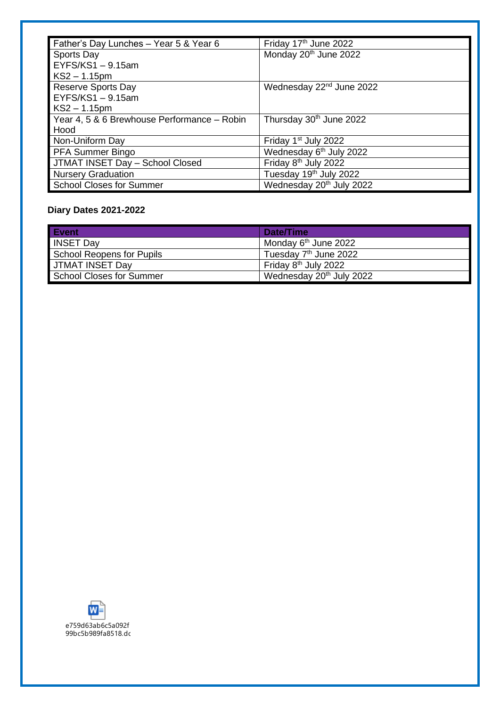| Father's Day Lunches - Year 5 & Year 6      | Friday 17th June 2022                |
|---------------------------------------------|--------------------------------------|
| <b>Sports Day</b>                           | Monday 20 <sup>th</sup> June 2022    |
| $EYFS/KS1 - 9.15am$                         |                                      |
| $KS2 - 1.15$ pm                             |                                      |
| <b>Reserve Sports Day</b>                   | Wednesday 22 <sup>nd</sup> June 2022 |
| $EYFS/KS1 - 9.15am$                         |                                      |
| $KS2 - 1.15$ pm                             |                                      |
| Year 4, 5 & 6 Brewhouse Performance - Robin | Thursday 30th June 2022              |
| Hood                                        |                                      |
| Non-Uniform Day                             | Friday 1 <sup>st</sup> July 2022     |
| <b>PFA Summer Bingo</b>                     | Wednesday 6th July 2022              |
| JTMAT INSET Day - School Closed             | Friday 8 <sup>th</sup> July 2022     |
| Nursery Graduation                          | Tuesday 19th July 2022               |
| <b>School Closes for Summer</b>             | Wednesday 20 <sup>th</sup> July 2022 |

### **Diary Dates 2021-2022**

| <b>Event</b>              | Date/Time                            |
|---------------------------|--------------------------------------|
| <b>INSET Day</b>          | Monday 6 <sup>th</sup> June 2022     |
| School Reopens for Pupils | Tuesday 7 <sup>th</sup> June 2022    |
| JTMAT INSET Day           | Friday 8 <sup>th</sup> July 2022     |
| School Closes for Summer  | Wednesday 20 <sup>th</sup> July 2022 |

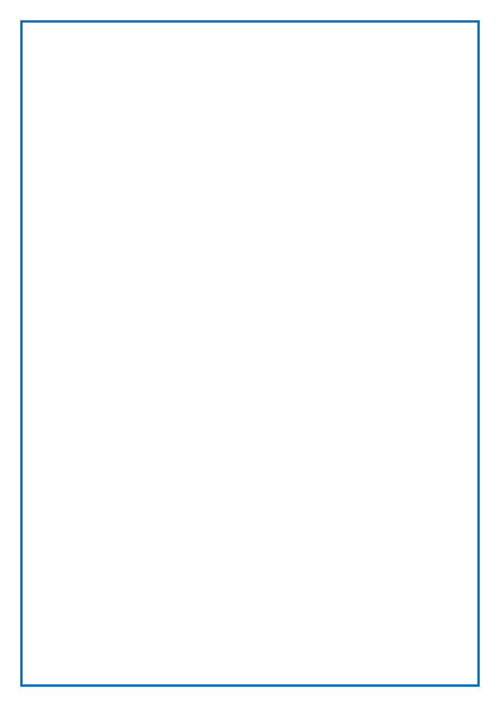